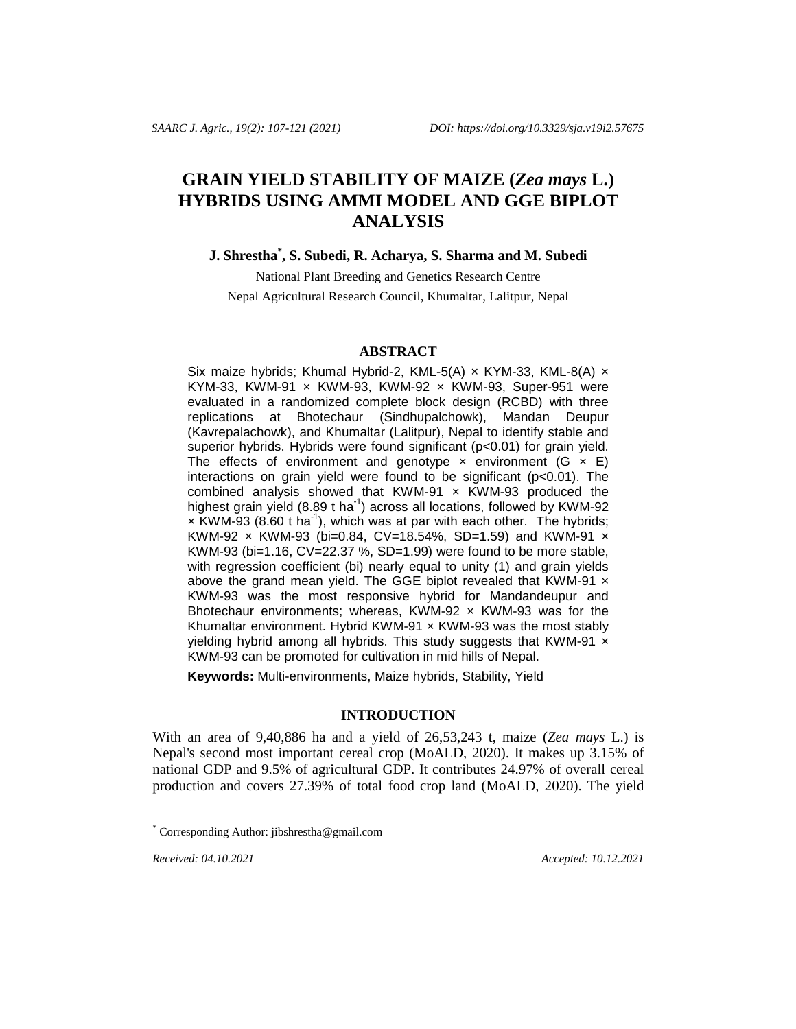# **GRAIN YIELD STABILITY OF MAIZE (***Zea mays* **L.) HYBRIDS USING AMMI MODEL AND GGE BIPLOT ANALYSIS**

**J. Shrestha\* , S. Subedi, R. Acharya, S. Sharma and M. Subedi**

National Plant Breeding and Genetics Research Centre Nepal Agricultural Research Council, Khumaltar, Lalitpur, Nepal

#### **ABSTRACT**

Six maize hybrids; Khumal Hybrid-2, KML-5(A) x KYM-33, KML-8(A) x KYM-33, KWM-91  $\times$  KWM-93, KWM-92  $\times$  KWM-93, Super-951 were evaluated in a randomized complete block design (RCBD) with three replications at Bhotechaur (Sindhupalchowk), Mandan Deupur (Kavrepalachowk), and Khumaltar (Lalitpur), Nepal to identify stable and superior hybrids. Hybrids were found significant (p<0.01) for grain yield. The effects of environment and genotype  $\times$  environment (G  $\times$  E) interactions on grain yield were found to be significant (p<0.01). The combined analysis showed that KWM-91  $\times$  KWM-93 produced the highest grain yield (8.89 t ha<sup>-1</sup>) across all locations, followed by KWM-92  $\times$  KWM-93 (8.60 t ha<sup>-1</sup>), which was at par with each other. The hybrids; KWM-92  $\times$  KWM-93 (bi=0.84, CV=18.54%, SD=1.59) and KWM-91  $\times$ KWM-93 (bi=1.16, CV=22.37 %, SD=1.99) were found to be more stable, with regression coefficient (bi) nearly equal to unity (1) and grain yields above the grand mean yield. The GGE biplot revealed that KWM-91  $\times$ KWM-93 was the most responsive hybrid for Mandandeupur and Bhotechaur environments; whereas, KWM-92  $\times$  KWM-93 was for the Khumaltar environment. Hybrid KWM-91  $\times$  KWM-93 was the most stably yielding hybrid among all hybrids. This study suggests that KWM-91  $\times$ KWM-93 can be promoted for cultivation in mid hills of Nepal.

**Keywords:** Multi-environments, Maize hybrids, Stability, Yield

## **INTRODUCTION**

With an area of 9,40,886 ha and a yield of 26,53,243 t, maize (*Zea mays* L.) is Nepal's second most important cereal crop (MoALD, 2020). It makes up 3.15% of national GDP and 9.5% of agricultural GDP. It contributes 24.97% of overall cereal production and covers 27.39% of total food crop land (MoALD, 2020). The yield

l

**Received:** 04.10.2021 **Accepted:** 10.12.2021

Corresponding Author: [jibshrestha@gmail.com](mailto:jibshrestha@gmail.com)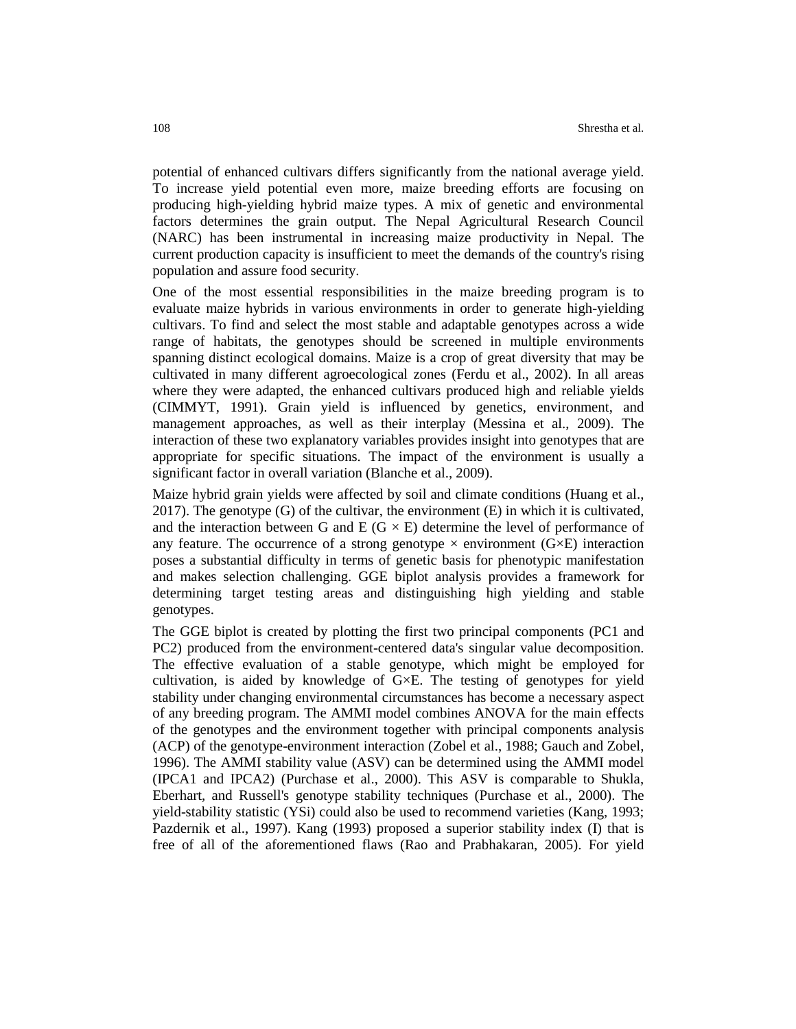potential of enhanced cultivars differs significantly from the national average yield. To increase yield potential even more, maize breeding efforts are focusing on producing high-yielding hybrid maize types. A mix of genetic and environmental factors determines the grain output. The Nepal Agricultural Research Council (NARC) has been instrumental in increasing maize productivity in Nepal. The current production capacity is insufficient to meet the demands of the country's rising population and assure food security.

One of the most essential responsibilities in the maize breeding program is to evaluate maize hybrids in various environments in order to generate high-yielding cultivars. To find and select the most stable and adaptable genotypes across a wide range of habitats, the genotypes should be screened in multiple environments spanning distinct ecological domains. Maize is a crop of great diversity that may be cultivated in many different agroecological zones (Ferdu et al., 2002). In all areas where they were adapted, the enhanced cultivars produced high and reliable yields (CIMMYT, 1991). Grain yield is influenced by genetics, environment, and management approaches, as well as their interplay (Messina et al., 2009). The interaction of these two explanatory variables provides insight into genotypes that are appropriate for specific situations. The impact of the environment is usually a significant factor in overall variation (Blanche et al., 2009).

Maize hybrid grain yields were affected by soil and climate conditions (Huang et al.,  $2017$ ). The genotype (G) of the cultivar, the environment (E) in which it is cultivated, and the interaction between G and E ( $G \times E$ ) determine the level of performance of any feature. The occurrence of a strong genotype  $\times$  environment (G $\times$ E) interaction poses a substantial difficulty in terms of genetic basis for phenotypic manifestation and makes selection challenging. GGE biplot analysis provides a framework for determining target testing areas and distinguishing high yielding and stable genotypes.

The GGE biplot is created by plotting the first two principal components (PC1 and PC2) produced from the environment-centered data's singular value decomposition. The effective evaluation of a stable genotype, which might be employed for cultivation, is aided by knowledge of G×E. The testing of genotypes for yield stability under changing environmental circumstances has become a necessary aspect of any breeding program. The AMMI model combines ANOVA for the main effects of the genotypes and the environment together with principal components analysis (ACP) of the genotype-environment interaction (Zobel et al., 1988; Gauch and Zobel, 1996). The AMMI stability value (ASV) can be determined using the AMMI model (IPCA1 and IPCA2) (Purchase et al., 2000). This ASV is comparable to Shukla, Eberhart, and Russell's genotype stability techniques (Purchase et al., 2000). The yield-stability statistic (YSi) could also be used to recommend varieties (Kang, 1993; Pazdernik et al., 1997). Kang (1993) proposed a superior stability index (I) that is free of all of the aforementioned flaws (Rao and Prabhakaran, 2005). For yield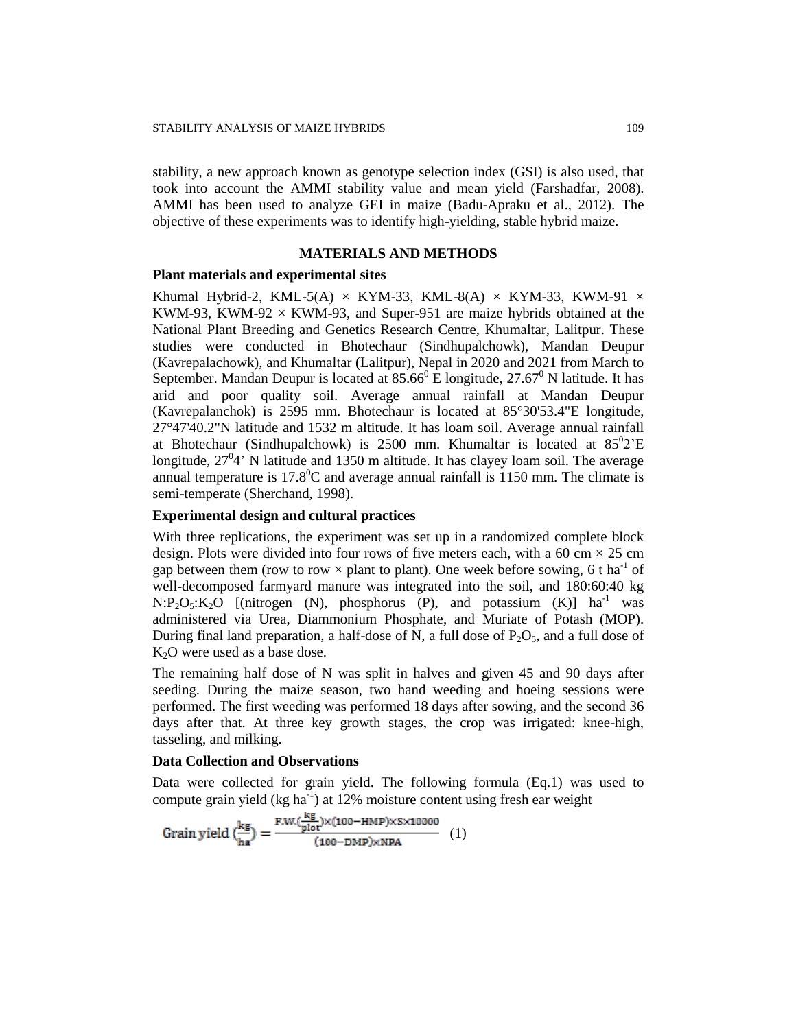stability, a new approach known as genotype selection index (GSI) is also used, that took into account the AMMI stability value and mean yield (Farshadfar, 2008). AMMI has been used to analyze GEI in maize (Badu-Apraku et al., 2012). The objective of these experiments was to identify high-yielding, stable hybrid maize.

#### **MATERIALS AND METHODS**

#### **Plant materials and experimental sites**

Khumal Hybrid-2, KML-5(A)  $\times$  KYM-33, KML-8(A)  $\times$  KYM-33, KWM-91  $\times$ KWM-93, KWM-92  $\times$  KWM-93, and Super-951 are maize hybrids obtained at the National Plant Breeding and Genetics Research Centre, Khumaltar, Lalitpur. These studies were conducted in Bhotechaur (Sindhupalchowk), Mandan Deupur (Kavrepalachowk), and Khumaltar (Lalitpur), Nepal in 2020 and 2021 from March to September. Mandan Deupur is located at  $85.66^{\circ}$  E longitude,  $27.67^{\circ}$  N latitude. It has arid and poor quality soil. Average annual rainfall at Mandan Deupur (Kavrepalanchok) is 2595 mm. Bhotechaur is located at 85°30'53.4"E longitude, 27°47'40.2"N latitude and 1532 m altitude. It has loam soil. Average annual rainfall at Bhotechaur (Sindhupalchowk) is  $2500$  mm. Khumaltar is located at  $85^02 \text{'E}$ longitude,  $27^04$ ' N latitude and 1350 m altitude. It has clayey loam soil. The average annual temperature is  $17.8^{\circ}$ C and average annual rainfall is 1150 mm. The climate is semi-temperate (Sherchand, 1998).

# **Experimental design and cultural practices**

With three replications, the experiment was set up in a randomized complete block design. Plots were divided into four rows of five meters each, with a 60 cm  $\times$  25 cm gap between them (row to row  $\times$  plant to plant). One week before sowing, 6 t ha<sup>-1</sup> of well-decomposed farmyard manure was integrated into the soil, and 180:60:40 kg  $N:P_2O_5:K_2O$  [(nitrogen (N), phosphorus (P), and potassium (K)] ha<sup>-1</sup> was administered via Urea, Diammonium Phosphate, and Muriate of Potash (MOP). During final land preparation, a half-dose of N, a full dose of  $P_2O_5$ , and a full dose of  $K<sub>2</sub>O$  were used as a base dose.

The remaining half dose of N was split in halves and given 45 and 90 days after seeding. During the maize season, two hand weeding and hoeing sessions were performed. The first weeding was performed 18 days after sowing, and the second 36 days after that. At three key growth stages, the crop was irrigated: knee-high, tasseling, and milking.

#### **Data Collection and Observations**

Data were collected for grain yield. The following formula (Eq.1) was used to compute grain yield (kg ha $^{-1}$ ) at 12% moisture content using fresh ear weight

$$
Grain yield \left(\frac{kg}{ha}\right) = \frac{F.W.(\frac{kg}{plot}) \times (100 - HMP) \times S \times 10000}{(100 - DMP) \times NPA} \quad (1)
$$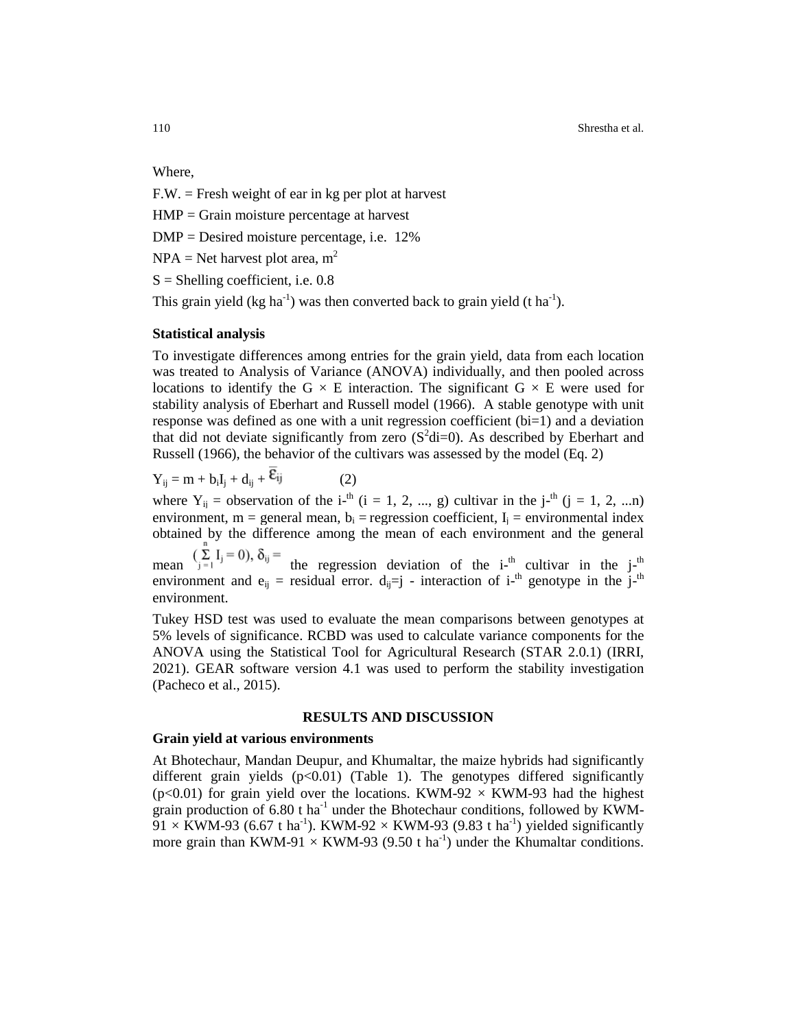110 Shrestha et al.

Where,

F.W. = Fresh weight of ear in kg per plot at harvest

HMP = Grain moisture percentage at harvest

DMP = Desired moisture percentage, i.e. 12%

 $NPA = Net$  harvest plot area, m<sup>2</sup>

 $S =$ Shelling coefficient, i.e. 0.8

This grain yield (kg ha<sup>-1</sup>) was then converted back to grain yield (t ha<sup>-1</sup>).

#### **Statistical analysis**

To investigate differences among entries for the grain yield, data from each location was treated to Analysis of Variance (ANOVA) individually, and then pooled across locations to identify the G  $\times$  E interaction. The significant G  $\times$  E were used for stability analysis of Eberhart and Russell model (1966). A stable genotype with unit response was defined as one with a unit regression coefficient (bi=1) and a deviation that did not deviate significantly from zero  $(S^2di=0)$ . As described by Eberhart and Russell (1966), the behavior of the cultivars was assessed by the model (Eq. 2)

 $Y_{ii} = m + b_i I_i + d_{ii} + \overline{\epsilon}_{ij}$  (2)

where  $Y_{ij}$  = observation of the i-<sup>th</sup> (i = 1, 2, ..., g) cultivar in the j-<sup>th</sup> (j = 1, 2, ...n) environment, m = general mean,  $b_i$  = regression coefficient,  $I_i$  = environmental index obtained by the difference among the mean of each environment and the general

mean  $\sum_{j=1}^{\infty}$   $\sum_{j=1}^{\infty}$  the regression deviation of the i-<sup>th</sup> cultivar in the j-<sup>th</sup> environment and  $e_{ij}$  = residual error.  $d_{ij} = j$  - interaction of i-<sup>th</sup> genotype in the j-<sup>th</sup> environment.

Tukey HSD test was used to evaluate the mean comparisons between genotypes at 5% levels of significance. RCBD was used to calculate variance components for the ANOVA using the Statistical Tool for Agricultural Research [\(STAR](https://docs.google.com/forms/d/e/1FAIpQLSd-bV_X8f6_V8pROUwIY7j_zEc0SM9wDpQgKa5707jp4Wy3mA/viewform) 2.0.1) (IRRI, 2021). GEAR software version 4.1 was used to perform the stability investigation (Pacheco et al., 2015).

#### **RESULTS AND DISCUSSION**

# **Grain yield at various environments**

At Bhotechaur, Mandan Deupur, and Khumaltar, the maize hybrids had significantly different grain yields  $(p<0.01)$  (Table 1). The genotypes differed significantly (p<0.01) for grain yield over the locations. KWM-92  $\times$  KWM-93 had the highest grain production of  $6.80$  t ha<sup>-1</sup> under the Bhotechaur conditions, followed by KWM- $91 \times$  KWM-93 (6.67 t ha<sup>-1</sup>). KWM-92  $\times$  KWM-93 (9.83 t ha<sup>-1</sup>) yielded significantly more grain than KWM-91  $\times$  KWM-93 (9.50 t ha<sup>-1</sup>) under the Khumaltar conditions.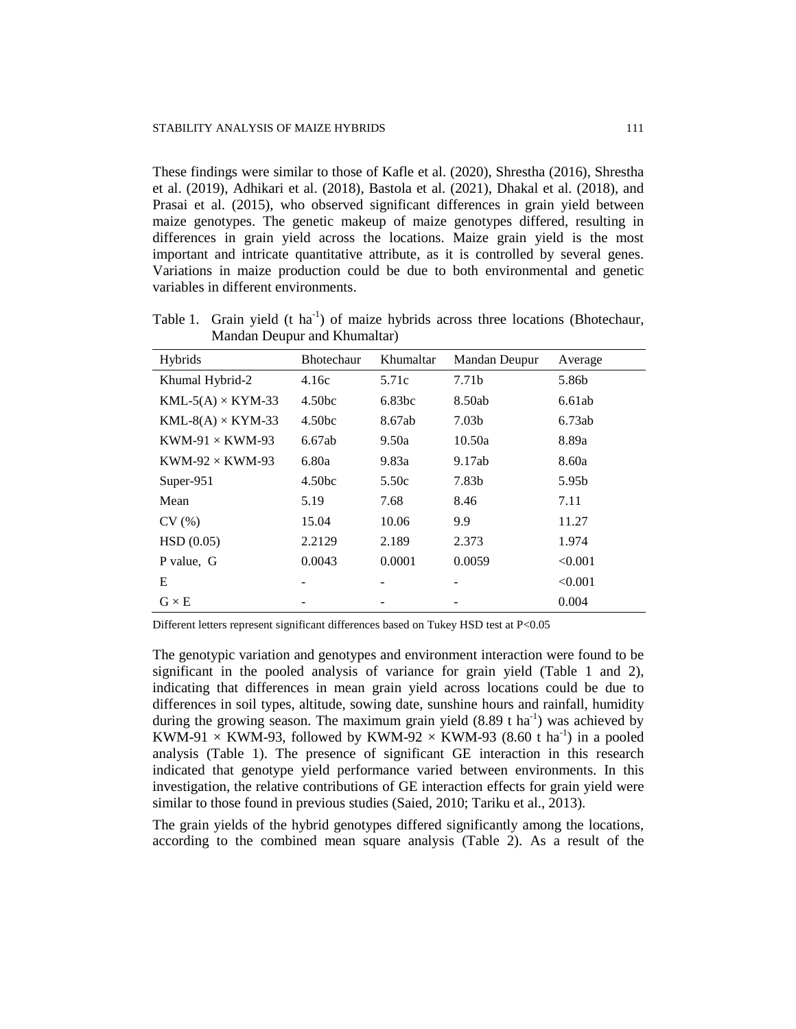These findings were similar to those of Kafle et al. (2020), Shrestha (2016), Shrestha et al. (2019), Adhikari et al. (2018), Bastola et al. (2021), Dhakal et al. (2018), and Prasai et al. (2015), who observed significant differences in grain yield between maize genotypes. The genetic makeup of maize genotypes differed, resulting in differences in grain yield across the locations. Maize grain yield is the most important and intricate quantitative attribute, as it is controlled by several genes. Variations in maize production could be due to both environmental and genetic variables in different environments.

Table 1. Grain yield (t ha<sup>-1</sup>) of maize hybrids across three locations (Bhotechaur, Mandan Deupur and Khumaltar)

| Hybrids                  | <b>Bhotechaur</b>  | Khumaltar          | Mandan Deupur     | Average |
|--------------------------|--------------------|--------------------|-------------------|---------|
| Khumal Hybrid-2          | 4.16c              | 5.71c              | 7.71 <sub>b</sub> | 5.86b   |
| $KML-5(A) \times KYM-33$ | 4.50 <sub>bc</sub> | 6.83 <sub>bc</sub> | 8.50ab            | 6.61ab  |
| $KML-8(A) \times KYM-33$ | 4.50 <sub>bc</sub> | 8.67ab             | 7.03 <sub>b</sub> | 6.73ab  |
| $KWM-91 \times KWM-93$   | 6.67ab             | 9.50a              | 10.50a            | 8.89a   |
| KWM-92 $\times$ KWM-93   | 6.80a              | 9.83a              | 9.17ab            | 8.60a   |
| Super- $951$             | 4.50bc             | 5.50c              | 7.83b             | 5.95b   |
| Mean                     | 5.19               | 7.68               | 8.46              | 7.11    |
| CV(%)                    | 15.04              | 10.06              | 9.9               | 11.27   |
| HSD(0.05)                | 2.2129             | 2.189              | 2.373             | 1.974   |
| P value, G               | 0.0043             | 0.0001             | 0.0059            | < 0.001 |
| Е                        |                    |                    |                   | < 0.001 |
| $G \times E$             |                    |                    |                   | 0.004   |

Different letters represent significant differences based on Tukey HSD test at P<0.05

The genotypic variation and genotypes and environment interaction were found to be significant in the pooled analysis of variance for grain yield (Table 1 and 2), indicating that differences in mean grain yield across locations could be due to differences in soil types, altitude, sowing date, sunshine hours and rainfall, humidity during the growing season. The maximum grain yield  $(8.89 \text{ t ha}^{-1})$  was achieved by KWM-91  $\times$  KWM-93, followed by KWM-92  $\times$  KWM-93 (8.60 t ha<sup>-1</sup>) in a pooled analysis (Table 1). The presence of significant GE interaction in this research indicated that genotype yield performance varied between environments. In this investigation, the relative contributions of GE interaction effects for grain yield were similar to those found in previous studies (Saied, 2010; Tariku et al., 2013).

The grain yields of the hybrid genotypes differed significantly among the locations, according to the combined mean square analysis (Table 2). As a result of the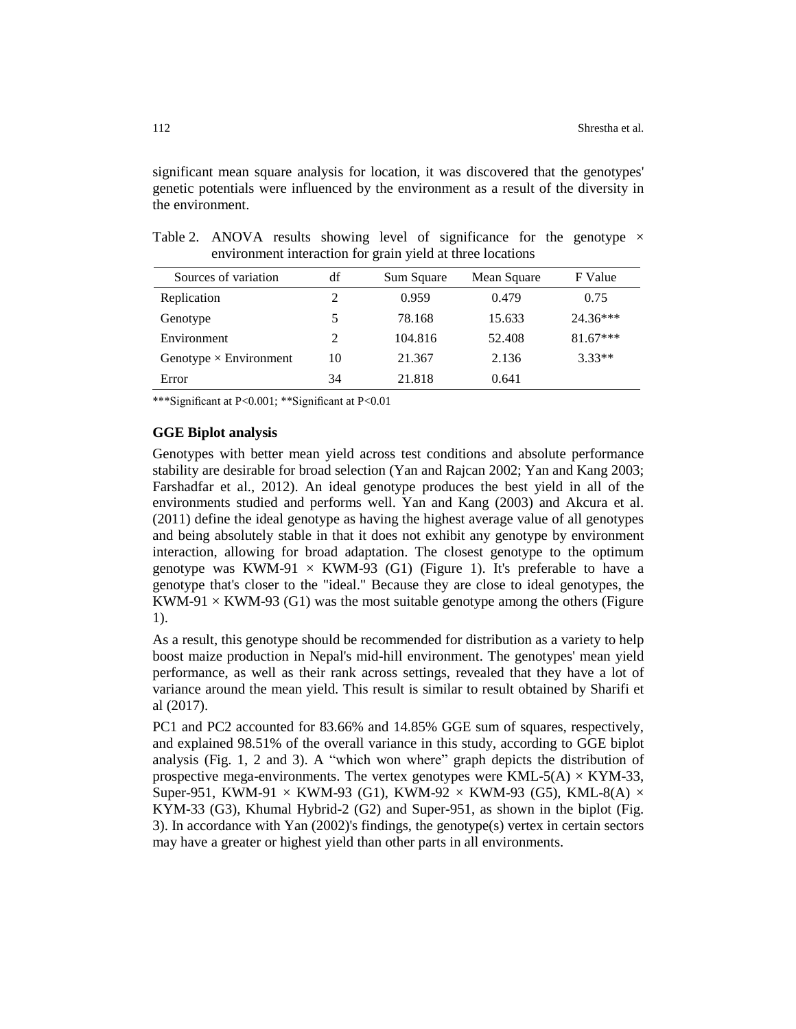significant mean square analysis for location, it was discovered that the genotypes' genetic potentials were influenced by the environment as a result of the diversity in the environment.

| Sources of variation          | df             | Sum Square | Mean Square | F Value    |
|-------------------------------|----------------|------------|-------------|------------|
| Replication                   | 2              | 0.959      | 0.479       | 0.75       |
| Genotype                      | 5              | 78.168     | 15.633      | 24.36***   |
| Environment                   | $\mathfrak{D}$ | 104.816    | 52.408      | $81.67***$ |
| Genotype $\times$ Environment | 10             | 21.367     | 2.136       | $3.33**$   |
| Error                         | 34             | 21.818     | 0.641       |            |

Table 2. ANOVA results showing level of significance for the genotype  $\times$ environment interaction for grain yield at three locations

\*\*\*Significant at P<0.001; \*\*Significant at P<0.01

### **GGE Biplot analysis**

Genotypes with better mean yield across test conditions and absolute performance stability are desirable for broad selection (Yan and Rajcan 2002; Yan and Kang 2003; Farshadfar et al., 2012). An ideal genotype produces the best yield in all of the environments studied and performs well. Yan and Kang (2003) and Akcura et al. (2011) define the ideal genotype as having the highest average value of all genotypes and being absolutely stable in that it does not exhibit any genotype by environment interaction, allowing for broad adaptation. The closest genotype to the optimum genotype was KWM-91  $\times$  KWM-93 (G1) (Figure 1). It's preferable to have a genotype that's closer to the "ideal." Because they are close to ideal genotypes, the KWM-91  $\times$  KWM-93 (G1) was the most suitable genotype among the others (Figure 1).

As a result, this genotype should be recommended for distribution as a variety to help boost maize production in Nepal's mid-hill environment. The genotypes' mean yield performance, as well as their rank across settings, revealed that they have a lot of variance around the mean yield. This result is similar to result obtained by Sharifi et al (2017).

PC1 and PC2 accounted for 83.66% and 14.85% GGE sum of squares, respectively, and explained 98.51% of the overall variance in this study, according to GGE biplot analysis (Fig. 1, 2 and 3). A "which won where" graph depicts the distribution of prospective mega-environments. The vertex genotypes were  $KML-5(A) \times KYM-33$ , Super-951, KWM-91  $\times$  KWM-93 (G1), KWM-92  $\times$  KWM-93 (G5), KML-8(A)  $\times$ KYM-33 (G3), Khumal Hybrid-2 (G2) and Super-951, as shown in the biplot (Fig. 3). In accordance with Yan (2002)'s findings, the genotype(s) vertex in certain sectors may have a greater or highest yield than other parts in all environments.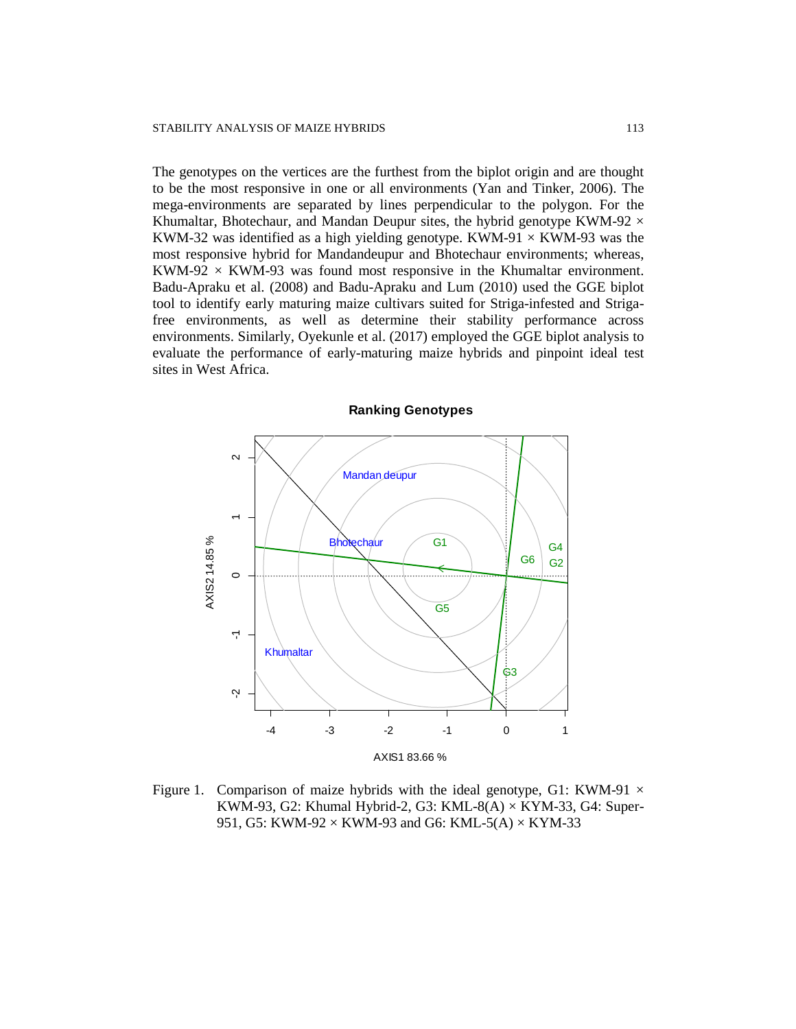The genotypes on the vertices are the furthest from the biplot origin and are thought to be the most responsive in one or all environments (Yan and Tinker, 2006). The mega-environments are separated by lines perpendicular to the polygon. For the Khumaltar, Bhotechaur, and Mandan Deupur sites, the hybrid genotype KWM-92  $\times$ KWM-32 was identified as a high yielding genotype. KWM-91  $\times$  KWM-93 was the most responsive hybrid for Mandandeupur and Bhotechaur environments; whereas, KWM-92  $\times$  KWM-93 was found most responsive in the Khumaltar environment. Badu-Apraku et al. (2008) and Badu-Apraku and Lum (2010) used the GGE biplot tool to identify early maturing maize cultivars suited for Striga-infested and Strigafree environments, as well as determine their stability performance across environments. Similarly, Oyekunle et al. (2017) employed the GGE biplot analysis to evaluate the performance of early-maturing maize hybrids and pinpoint ideal test sites in West Africa.



Figure 1. Comparison of maize hybrids with the ideal genotype, G1: KWM-91  $\times$ KWM-93, G2: Khumal Hybrid-2, G3: KML-8(A)  $\times$  KYM-33, G4: Super-951, G5: KWM-92  $\times$  KWM-93 and G6: KML-5(A)  $\times$  KYM-33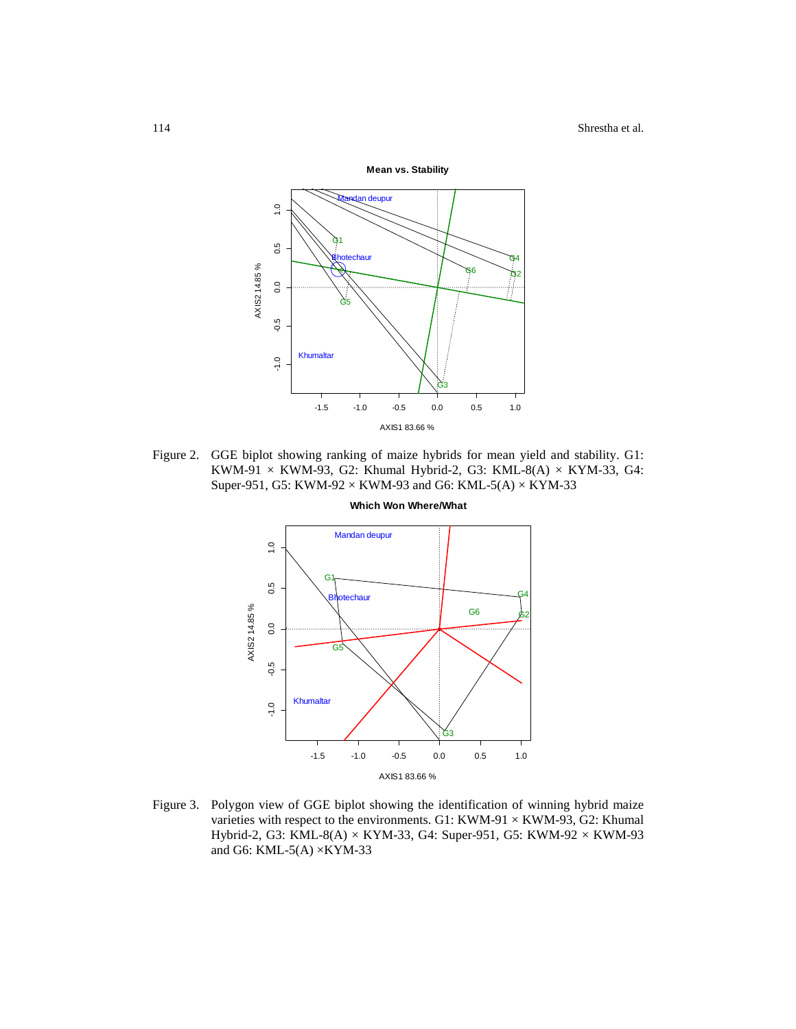

Figure 2. GGE biplot showing ranking of maize hybrids for mean yield and stability. G1: KWM-91  $\times$  KWM-93, G2: Khumal Hybrid-2, G3: KML-8(A)  $\times$  KYM-33, G4: Super-951, G5: KWM-92  $\times$  KWM-93 and G6: KML-5(A)  $\times$  KYM-33



Figure 3. Polygon view of GGE biplot showing the identification of winning hybrid maize varieties with respect to the environments. G1: KWM-91  $\times$  KWM-93, G2: Khumal Hybrid-2, G3: KML-8(A) × KYM-33, G4: Super-951, G5: KWM-92 × KWM-93 and G6: KML-5(A)  $\times$ KYM-33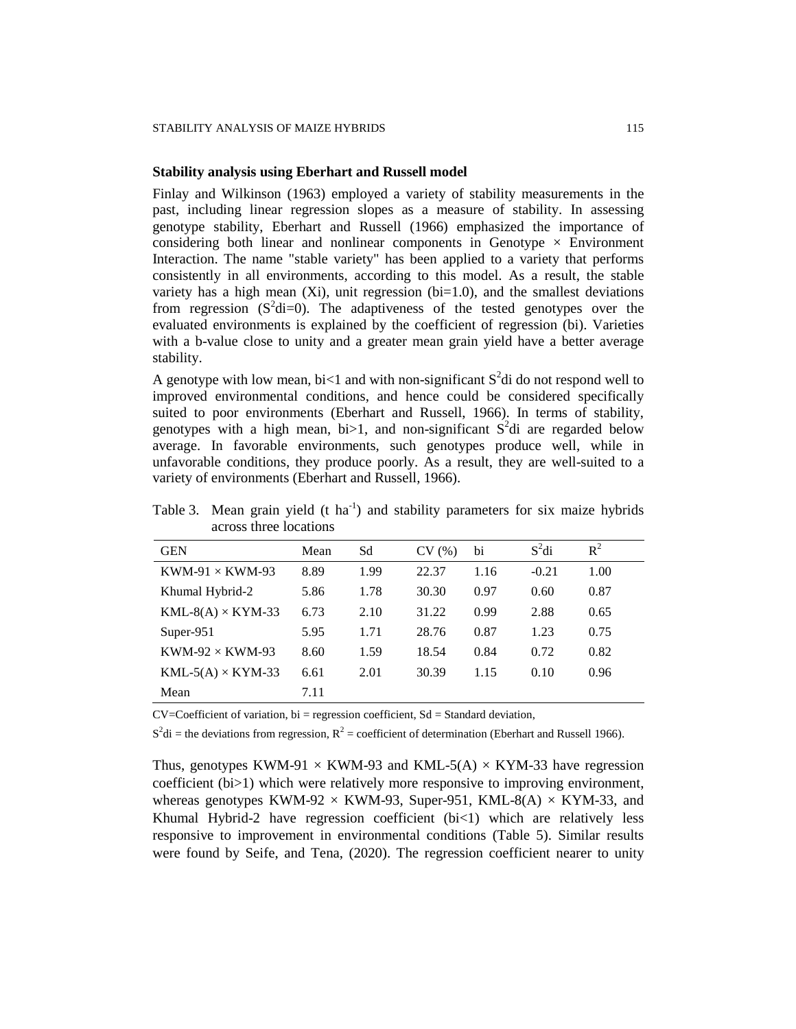#### **Stability analysis using Eberhart and Russell model**

Finlay and Wilkinson (1963) employed a variety of stability measurements in the past, including linear regression slopes as a measure of stability. In assessing genotype stability, Eberhart and Russell (1966) emphasized the importance of considering both linear and nonlinear components in Genotype  $\times$  Environment Interaction. The name "stable variety" has been applied to a variety that performs consistently in all environments, according to this model. As a result, the stable variety has a high mean  $(Xi)$ , unit regression  $(bi=1.0)$ , and the smallest deviations from regression  $(S^2di=0)$ . The adaptiveness of the tested genotypes over the evaluated environments is explained by the coefficient of regression (bi). Varieties with a b-value close to unity and a greater mean grain yield have a better average stability.

A genotype with low mean, bi<1 and with non-significant  $S^2$ di do not respond well to improved environmental conditions, and hence could be considered specifically suited to poor environments (Eberhart and Russell, 1966). In terms of stability, genotypes with a high mean, bi > 1, and non-significant  $S^2$ di are regarded below average. In favorable environments, such genotypes produce well, while in unfavorable conditions, they produce poorly. As a result, they are well-suited to a variety of environments (Eberhart and Russell, 1966).

| <b>GEN</b>               | Mean | Sd   | CV(%) | bi   | $S^2$ di | $R^2$ |
|--------------------------|------|------|-------|------|----------|-------|
| $KWM-91 \times KWM-93$   | 8.89 | 1.99 | 22.37 | 1.16 | $-0.21$  | 1.00  |
| Khumal Hybrid-2          | 5.86 | 1.78 | 30.30 | 0.97 | 0.60     | 0.87  |
| $KML-8(A) \times KYM-33$ | 6.73 | 2.10 | 31.22 | 0.99 | 2.88     | 0.65  |
| Super- $951$             | 5.95 | 1.71 | 28.76 | 0.87 | 1.23     | 0.75  |
| $KWM-92 \times KWM-93$   | 8.60 | 1.59 | 18.54 | 0.84 | 0.72     | 0.82  |
| $KML-5(A) \times KYM-33$ | 6.61 | 2.01 | 30.39 | 1.15 | 0.10     | 0.96  |
| Mean                     | 7.11 |      |       |      |          |       |

Table 3. Mean grain yield  $(t \text{ ha}^{-1})$  and stability parameters for six maize hybrids across three locations

CV=Coefficient of variation, bi = regression coefficient, Sd = Standard deviation,

 $S^2$ di = the deviations from regression,  $R^2$  = coefficient of determination (Eberhart and Russell 1966).

Thus, genotypes KWM-91  $\times$  KWM-93 and KML-5(A)  $\times$  KYM-33 have regression coefficient (bi>1) which were relatively more responsive to improving environment, whereas genotypes KWM-92  $\times$  KWM-93, Super-951, KML-8(A)  $\times$  KYM-33, and Khumal Hybrid-2 have regression coefficient  $(b \times 1)$  which are relatively less responsive to improvement in environmental conditions (Table 5). Similar results were found by Seife, and Tena, (2020). The regression coefficient nearer to unity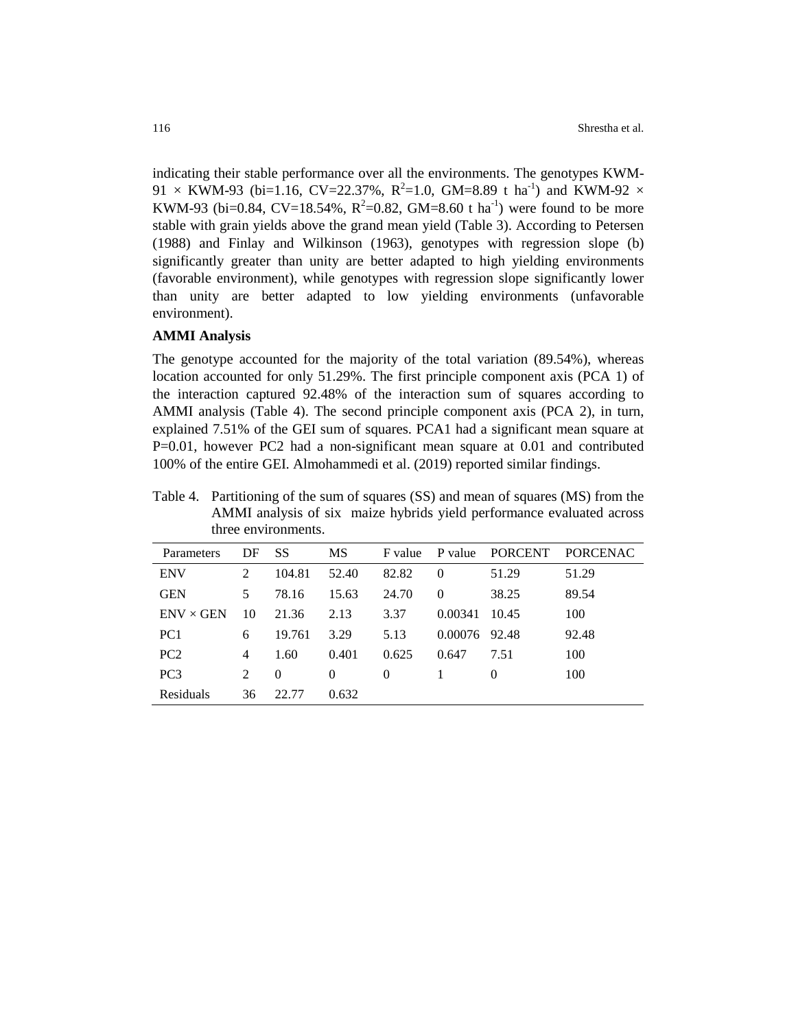indicating their stable performance over all the environments. The genotypes KWM-91  $\times$  KWM-93 (bi=1.16, CV=22.37%, R<sup>2</sup>=1.0, GM=8.89 t ha<sup>-1</sup>) and KWM-92  $\times$ KWM-93 (bi=0.84, CV=18.54%,  $R^2$ =0.82, GM=8.60 t ha<sup>-1</sup>) were found to be more stable with grain yields above the grand mean yield (Table 3). According to Petersen (1988) and Finlay and Wilkinson (1963), genotypes with regression slope (b) significantly greater than unity are better adapted to high yielding environments (favorable environment), while genotypes with regression slope significantly lower than unity are better adapted to low yielding environments (unfavorable environment).

#### **AMMI Analysis**

The genotype accounted for the majority of the total variation (89.54%), whereas location accounted for only 51.29%. The first principle component axis (PCA 1) of the interaction captured 92.48% of the interaction sum of squares according to AMMI analysis (Table 4). The second principle component axis (PCA 2), in turn, explained 7.51% of the GEI sum of squares. PCA1 had a significant mean square at P=0.01, however PC2 had a non-significant mean square at 0.01 and contributed 100% of the entire GEI. Almohammedi et al. (2019) reported similar findings.

Table 4. Partitioning of the sum of squares (SS) and mean of squares (MS) from the AMMI analysis of six maize hybrids yield performance evaluated across three environments.

| Parameters       | DF | SS       | MS       | F value | P value  | PORCENT  | <b>PORCENAC</b> |
|------------------|----|----------|----------|---------|----------|----------|-----------------|
| <b>ENV</b>       | 2  | 104.81   | 52.40    | 82.82   | $\Omega$ | 51.29    | 51.29           |
| <b>GEN</b>       | 5  | 78.16    | 15.63    | 24.70   | $\Omega$ | 38.25    | 89.54           |
| $ENV \times GEN$ | 10 | 21.36    | 2.13     | 3.37    | 0.00341  | 10.45    | 100             |
| PC <sub>1</sub>  | 6  | 19.761   | 3.29     | 5.13    | 0.00076  | 92.48    | 92.48           |
| PC <sub>2</sub>  | 4  | 1.60     | 0.401    | 0.625   | 0.647    | 7.51     | 100             |
| PC <sub>3</sub>  | 2  | $\Omega$ | $\Omega$ | 0       |          | $\Omega$ | 100             |
| Residuals        | 36 | 22.77    | 0.632    |         |          |          |                 |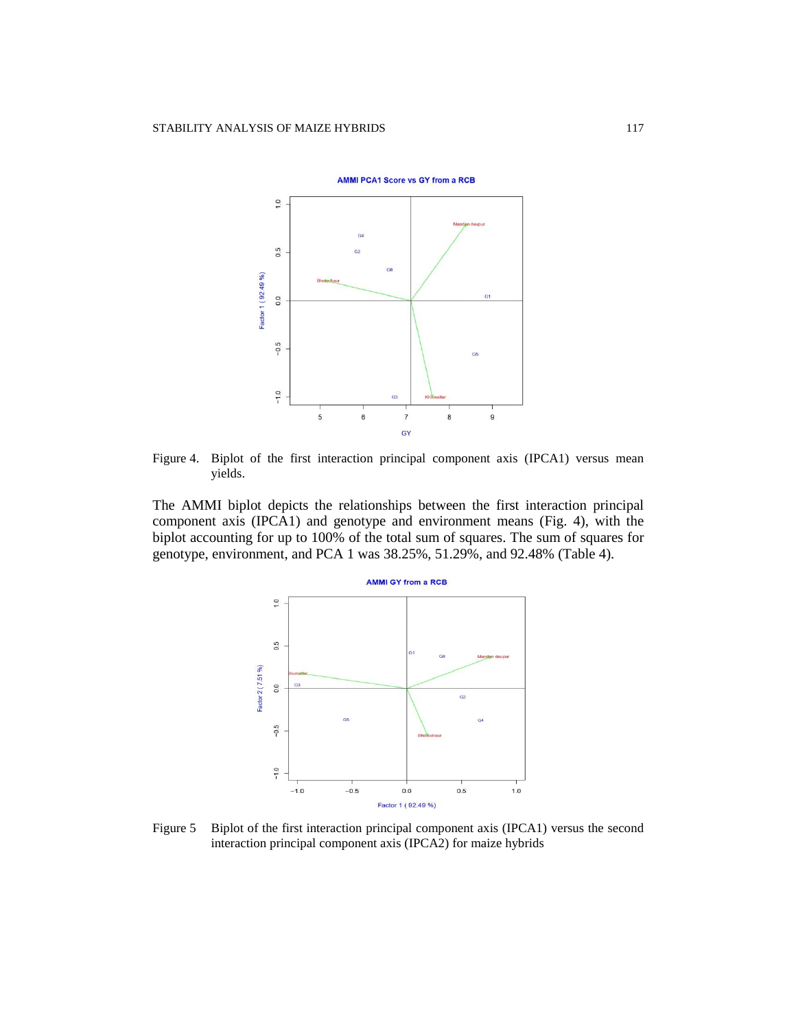

Figure 4. Biplot of the first interaction principal component axis (IPCA1) versus mean yields.

The AMMI biplot depicts the relationships between the first interaction principal component axis (IPCA1) and genotype and environment means (Fig. 4), with the biplot accounting for up to 100% of the total sum of squares. The sum of squares for genotype, environment, and PCA 1 was 38.25%, 51.29%, and 92.48% (Table 4).



Figure 5 Biplot of the first interaction principal component axis (IPCA1) versus the second interaction principal component axis (IPCA2) for maize hybrids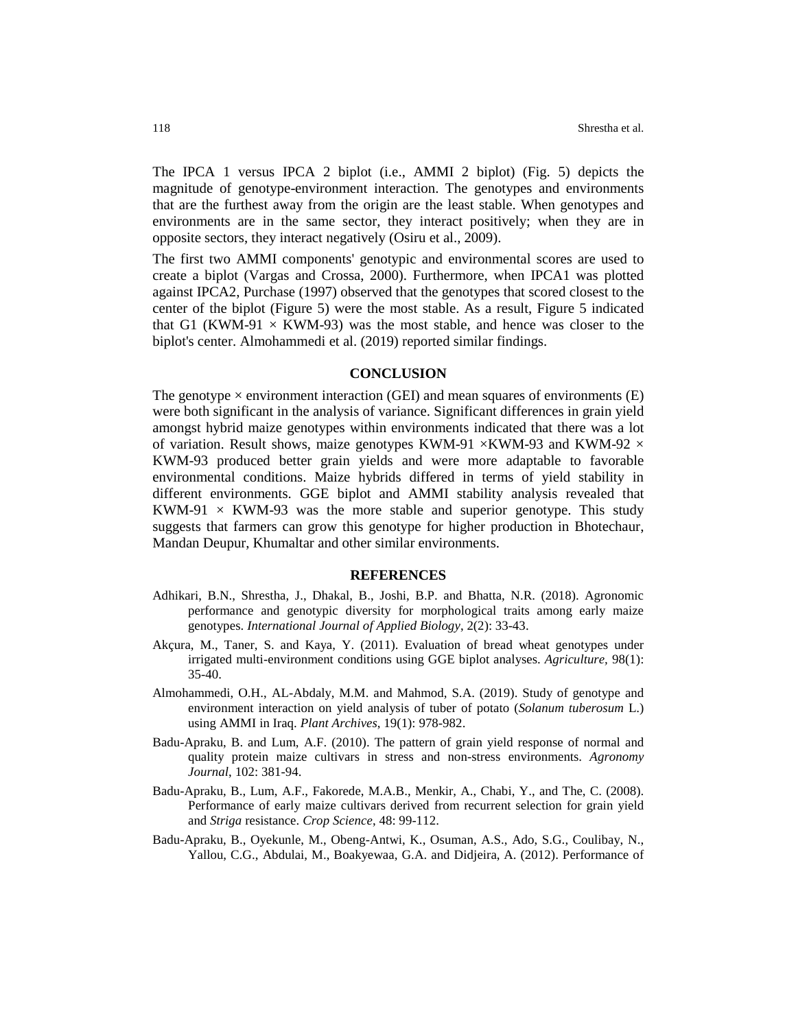The IPCA 1 versus IPCA 2 biplot (i.e., AMMI 2 biplot) (Fig. 5) depicts the magnitude of genotype-environment interaction. The genotypes and environments that are the furthest away from the origin are the least stable. When genotypes and environments are in the same sector, they interact positively; when they are in opposite sectors, they interact negatively (Osiru et al., 2009).

The first two AMMI components' genotypic and environmental scores are used to create a biplot (Vargas and Crossa, 2000). Furthermore, when IPCA1 was plotted against IPCA2, Purchase (1997) observed that the genotypes that scored closest to the center of the biplot (Figure 5) were the most stable. As a result, Figure 5 indicated that G1 (KWM-91  $\times$  KWM-93) was the most stable, and hence was closer to the biplot's center. Almohammedi et al. (2019) reported similar findings.

#### **CONCLUSION**

The genotype  $\times$  environment interaction (GEI) and mean squares of environments (E) were both significant in the analysis of variance. Significant differences in grain yield amongst hybrid maize genotypes within environments indicated that there was a lot of variation. Result shows, maize genotypes KWM-91  $\times$ KWM-93 and KWM-92  $\times$ KWM-93 produced better grain yields and were more adaptable to favorable environmental conditions. Maize hybrids differed in terms of yield stability in different environments. GGE biplot and AMMI stability analysis revealed that KWM-91  $\times$  KWM-93 was the more stable and superior genotype. This study suggests that farmers can grow this genotype for higher production in Bhotechaur, Mandan Deupur, Khumaltar and other similar environments.

#### **REFERENCES**

- Adhikari, B.N., Shrestha, J., Dhakal, B., Joshi, B.P. and Bhatta, N.R. (2018). Agronomic performance and genotypic diversity for morphological traits among early maize genotypes. *International Journal of Applied Biology*, 2(2): 33-43.
- Akçura, M., Taner, S. and Kaya, Y. (2011). Evaluation of bread wheat genotypes under irrigated multi-environment conditions using GGE biplot analyses. *Agriculture,* 98(1): 35-40.
- Almohammedi, O.H., AL-Abdaly, M.M. and Mahmod, S.A. (2019). Study of genotype and environment interaction on yield analysis of tuber of potato (*Solanum tuberosum* L.) using AMMI in Iraq. *Plant Archives*, 19(1): 978-982.
- Badu-Apraku, B. and Lum, A.F. (2010). The pattern of grain yield response of normal and quality protein maize cultivars in stress and non-stress environments. *Agronomy Journal*, 102: 381-94.
- Badu-Apraku, B., Lum, A.F., Fakorede, M.A.B., Menkir, A., Chabi, Y., and The, C. (2008). Performance of early maize cultivars derived from recurrent selection for grain yield and *Striga* resistance. *Crop Science*, 48: 99-112.
- Badu-Apraku, B., Oyekunle, M., Obeng-Antwi, K., Osuman, A.S., Ado, S.G., Coulibay, N., Yallou, C.G., Abdulai, M., Boakyewaa, G.A. and Didjeira, A. (2012). Performance of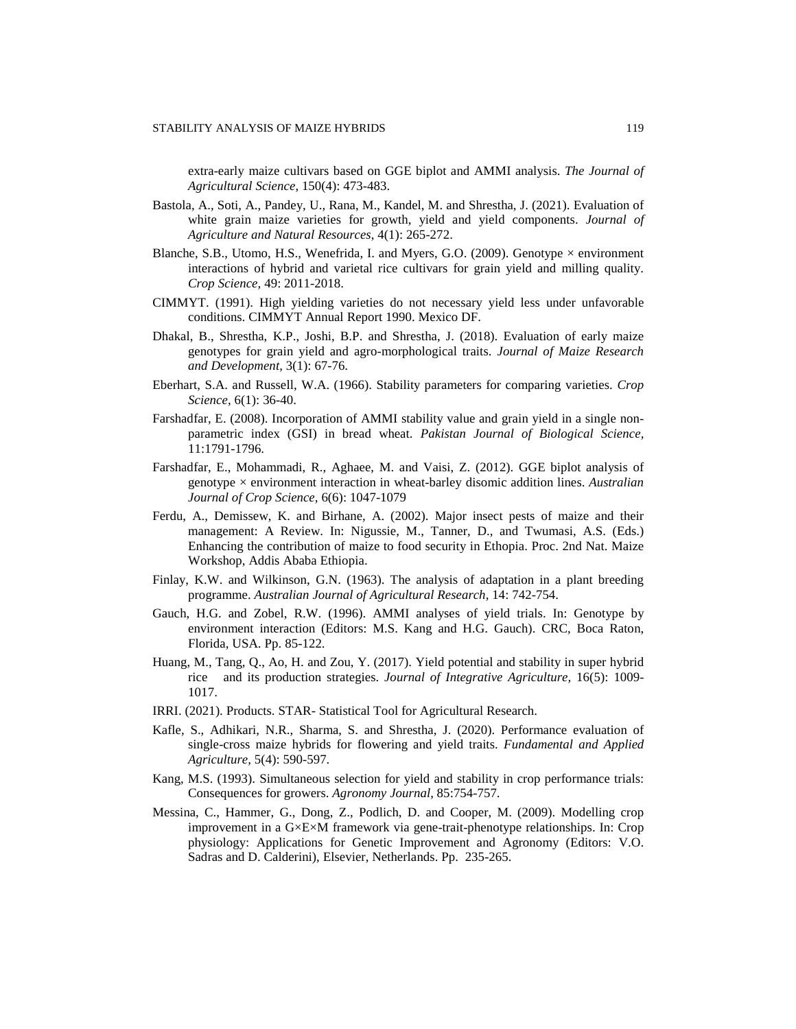extra-early maize cultivars based on GGE biplot and AMMI analysis. *The Journal of Agricultural Science*, 150(4): 473-483.

- Bastola, A., Soti, A., Pandey, U., Rana, M., Kandel, M. and Shrestha, J. (2021). Evaluation of white grain maize varieties for growth, yield and yield components. *Journal of Agriculture and Natural Resources*, 4(1): 265-272.
- Blanche, S.B., Utomo, H.S., Wenefrida, I. and Myers, G.O. (2009). Genotype  $\times$  environment interactions of hybrid and varietal rice cultivars for grain yield and milling quality. *Crop Science,* 49: 2011-2018.
- CIMMYT. (1991). High yielding varieties do not necessary yield less under unfavorable conditions. CIMMYT Annual Report 1990. Mexico DF.
- Dhakal, B., Shrestha, K.P., Joshi, B.P. and Shrestha, J. (2018). Evaluation of early maize genotypes for grain yield and agro-morphological traits. *Journal of Maize Research and Development,* 3(1): 67-76.
- Eberhart, S.A. and Russell, W.A. (1966). Stability parameters for comparing varieties. *Crop Science,* 6(1): 36-40.
- Farshadfar, E. (2008). Incorporation of AMMI stability value and grain yield in a single nonparametric index (GSI) in bread wheat. *Pakistan Journal of Biological Science*, 11:1791-1796.
- Farshadfar, E., Mohammadi, R., Aghaee, M. and Vaisi, Z. (2012). GGE biplot analysis of genotype × environment interaction in wheat-barley disomic addition lines. *Australian Journal of Crop Science,* 6(6): 1047-1079
- Ferdu, A., Demissew, K. and Birhane, A. (2002). Major insect pests of maize and their management: A Review. In: Nigussie, M., Tanner, D., and Twumasi, A.S. (Eds.) Enhancing the contribution of maize to food security in Ethopia. Proc. 2nd Nat. Maize Workshop, Addis Ababa Ethiopia.
- Finlay, K.W. and Wilkinson, G.N. (1963). The analysis of adaptation in a plant breeding programme. *Australian Journal of Agricultural Research,* 14: 742-754.
- Gauch, H.G. and Zobel, R.W. (1996). AMMI analyses of yield trials. In: Genotype by environment interaction (Editors: M.S. Kang and H.G. Gauch). CRC, Boca Raton, Florida, USA. Pp. 85-122.
- Huang, M., Tang, Q., Ao, H. and Zou, Y. (2017). Yield potential and stability in super hybrid rice and its production strategies. *Journal of Integrative Agriculture,* 16(5): 1009- 1017.
- IRRI. (2021). Products. STAR- Statistical Tool for Agricultural Research.
- Kafle, S., Adhikari, N.R., Sharma, S. and Shrestha, J. (2020). Performance evaluation of single-cross maize hybrids for flowering and yield traits. *Fundamental and Applied Agriculture,* 5(4): 590-597.
- Kang, M.S. (1993). Simultaneous selection for yield and stability in crop performance trials: Consequences for growers. *Agronomy Journal*, 85:754-757.
- Messina, C., Hammer, G., Dong, Z., Podlich, D. and Cooper, M. (2009). Modelling crop improvement in a G×E×M framework via gene-trait-phenotype relationships. In: Crop physiology: Applications for Genetic Improvement and Agronomy (Editors: V.O. Sadras and D. Calderini), Elsevier, Netherlands. Pp. 235-265.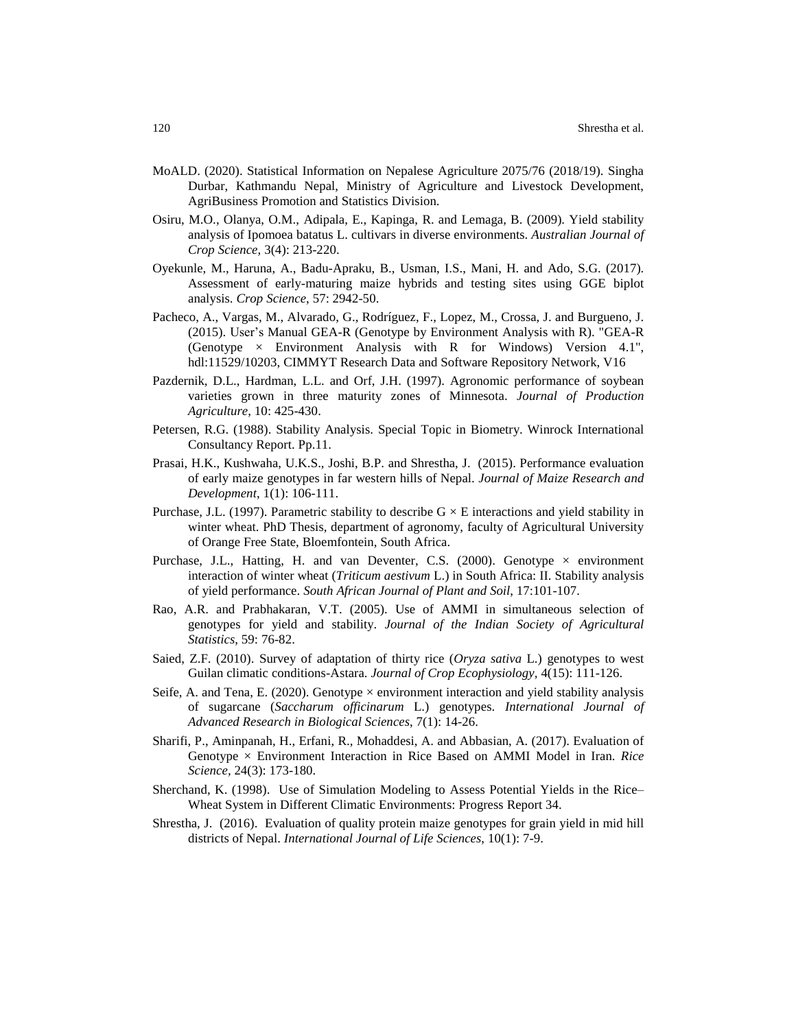- MoALD. (2020). Statistical Information on Nepalese Agriculture 2075/76 (2018/19). Singha Durbar, Kathmandu Nepal, Ministry of Agriculture and Livestock Development, AgriBusiness Promotion and Statistics Division.
- Osiru, M.O., Olanya, O.M., Adipala, E., Kapinga, R. and Lemaga, B. (2009). Yield stability analysis of Ipomoea batatus L. cultivars in diverse environments. *Australian Journal of Crop Science,* 3(4): 213-220.
- Oyekunle, M., Haruna, A., Badu-Apraku, B., Usman, I.S., Mani, H. and Ado, S.G. (2017). Assessment of early-maturing maize hybrids and testing sites using GGE biplot analysis. *Crop Science*, 57: 2942-50.
- Pacheco, A., Vargas, M., Alvarado, G., Rodríguez, F., Lopez, M., Crossa, J. and Burgueno, J. (2015). User's Manual GEA-R (Genotype by Environment Analysis with R). "GEA-R (Genotype  $\times$  Environment Analysis with R for Windows) Version 4.1", [hdl:11529/10203,](http://hdl.handle.net/11529/10203) CIMMYT Research Data and Software Repository Network, V16
- Pazdernik, D.L., Hardman, L.L. and Orf, J.H. (1997). Agronomic performance of soybean varieties grown in three maturity zones of Minnesota. *Journal of Production Agriculture*, 10: 425-430.
- Petersen, R.G. (1988). Stability Analysis. Special Topic in Biometry. Winrock International Consultancy Report. Pp.11.
- Prasai, H.K., Kushwaha, U.K.S., Joshi, B.P. and Shrestha, J. (2015). Performance evaluation of early maize genotypes in far western hills of Nepal. *Journal of Maize Research and Development*, 1(1): 106-111.
- Purchase, J.L. (1997). Parametric stability to describe  $G \times E$  interactions and yield stability in winter wheat. PhD Thesis, department of agronomy, faculty of Agricultural University of Orange Free State, Bloemfontein, South Africa.
- Purchase, J.L., Hatting, H. and van Deventer, C.S. (2000). Genotype  $\times$  environment interaction of winter wheat (*Triticum aestivum* L.) in South Africa: II. Stability analysis of yield performance. *South African Journal of Plant and Soil*, 17:101-107.
- Rao, A.R. and Prabhakaran, V.T. (2005). Use of AMMI in simultaneous selection of genotypes for yield and stability. *Journal of the Indian Society of Agricultural Statistics*, 59: 76-82.
- Saied, Z.F. (2010). Survey of adaptation of thirty rice (*Oryza sativa* L.) genotypes to west Guilan climatic conditions-Astara. *Journal of Crop Ecophysiology,* 4(15): 111-126.
- Seife, A. and Tena, E. (2020). Genotype  $\times$  environment interaction and yield stability analysis of sugarcane (*Saccharum officinarum* L.) genotypes. *International Journal of Advanced Research in Biological Sciences*, 7(1): 14-26.
- Sharifi, P., Aminpanah, H., Erfani, R., Mohaddesi, A. and Abbasian, A. (2017). Evaluation of Genotype × Environment Interaction in Rice Based on AMMI Model in Iran. *Rice Science,* 24(3): 173-180.
- Sherchand, K. (1998). Use of Simulation Modeling to Assess Potential Yields in the Rice– Wheat System in Different Climatic Environments: Progress Report 34.
- Shrestha, J. (2016). Evaluation of quality protein maize genotypes for grain yield in mid hill districts of Nepal. *International Journal of Life Sciences*, 10(1): 7-9.